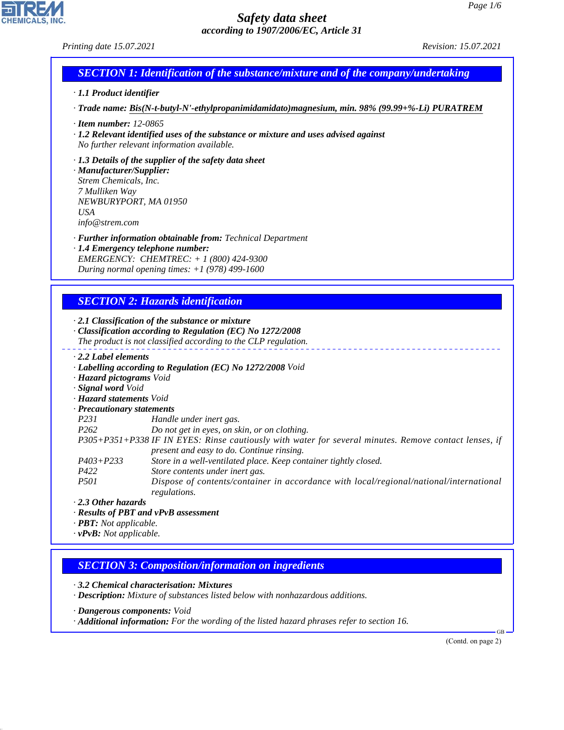### *Printing date 15.07.2021 Revision: 15.07.2021*

# *SECTION 1: Identification of the substance/mixture and of the company/undertaking*

### *· 1.1 Product identifier*

*· Trade name: Bis(N-t-butyl-N'-ethylpropanimidamidato)magnesium, min. 98% (99.99+%-Li) PURATREM*

- *· Item number: 12-0865*
- *· 1.2 Relevant identified uses of the substance or mixture and uses advised against No further relevant information available.*

### *· 1.3 Details of the supplier of the safety data sheet*

*· Manufacturer/Supplier: Strem Chemicals, Inc. 7 Mulliken Way NEWBURYPORT, MA 01950 USA info@strem.com*

*· Further information obtainable from: Technical Department*

*· 1.4 Emergency telephone number: EMERGENCY: CHEMTREC: + 1 (800) 424-9300 During normal opening times: +1 (978) 499-1600*

### *SECTION 2: Hazards identification*

*· 2.1 Classification of the substance or mixture*

- *· Classification according to Regulation (EC) No 1272/2008 The product is not classified according to the CLP regulation.*
- *· 2.2 Label elements*
- *· Labelling according to Regulation (EC) No 1272/2008 Void*
- *· Hazard pictograms Void*
- *· Signal word Void*
- *· Hazard statements Void*
- *· Precautionary statements*
- *P231 Handle under inert gas.*
- *P262 Do not get in eyes, on skin, or on clothing.*
- *P305+P351+P338 IF IN EYES: Rinse cautiously with water for several minutes. Remove contact lenses, if present and easy to do. Continue rinsing.*
- *P403+P233 Store in a well-ventilated place. Keep container tightly closed.*
- *P422 Store contents under inert gas.*
- *P501 Dispose of contents/container in accordance with local/regional/national/international regulations.*

*· 2.3 Other hazards*

44.1.1

- *· Results of PBT and vPvB assessment*
- *· PBT: Not applicable.*
- *· vPvB: Not applicable.*

### *SECTION 3: Composition/information on ingredients*

*· 3.2 Chemical characterisation: Mixtures*

*· Description: Mixture of substances listed below with nonhazardous additions.*

- *· Dangerous components: Void*
- *· Additional information: For the wording of the listed hazard phrases refer to section 16.*

(Contd. on page 2)

GB

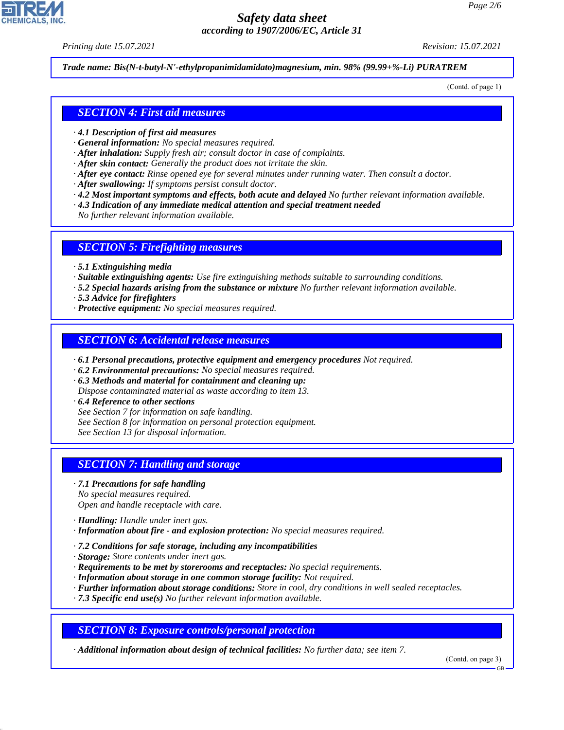*Printing date 15.07.2021 Revision: 15.07.2021*

*Trade name: Bis(N-t-butyl-N'-ethylpropanimidamidato)magnesium, min. 98% (99.99+%-Li) PURATREM*

(Contd. of page 1)

### *SECTION 4: First aid measures*

- *· 4.1 Description of first aid measures*
- *· General information: No special measures required.*
- *· After inhalation: Supply fresh air; consult doctor in case of complaints.*
- *· After skin contact: Generally the product does not irritate the skin.*
- *· After eye contact: Rinse opened eye for several minutes under running water. Then consult a doctor.*
- *· After swallowing: If symptoms persist consult doctor.*
- *· 4.2 Most important symptoms and effects, both acute and delayed No further relevant information available.*
- *· 4.3 Indication of any immediate medical attention and special treatment needed*
- *No further relevant information available.*

### *SECTION 5: Firefighting measures*

- *· 5.1 Extinguishing media*
- *· Suitable extinguishing agents: Use fire extinguishing methods suitable to surrounding conditions.*
- *· 5.2 Special hazards arising from the substance or mixture No further relevant information available.*
- *· 5.3 Advice for firefighters*
- *· Protective equipment: No special measures required.*

### *SECTION 6: Accidental release measures*

- *· 6.1 Personal precautions, protective equipment and emergency procedures Not required.*
- *· 6.2 Environmental precautions: No special measures required.*
- *· 6.3 Methods and material for containment and cleaning up:*
- *Dispose contaminated material as waste according to item 13.*
- *· 6.4 Reference to other sections*
- *See Section 7 for information on safe handling.*
- *See Section 8 for information on personal protection equipment.*
- *See Section 13 for disposal information.*

### *SECTION 7: Handling and storage*

- *· 7.1 Precautions for safe handling No special measures required. Open and handle receptacle with care.*
- *· Handling: Handle under inert gas.*

44.1.1

- *· Information about fire and explosion protection: No special measures required.*
- *· 7.2 Conditions for safe storage, including any incompatibilities*
- *· Storage: Store contents under inert gas.*
- *· Requirements to be met by storerooms and receptacles: No special requirements.*
- *· Information about storage in one common storage facility: Not required.*
- *· Further information about storage conditions: Store in cool, dry conditions in well sealed receptacles.*
- *· 7.3 Specific end use(s) No further relevant information available.*

*SECTION 8: Exposure controls/personal protection*

*· Additional information about design of technical facilities: No further data; see item 7.*

(Contd. on page 3)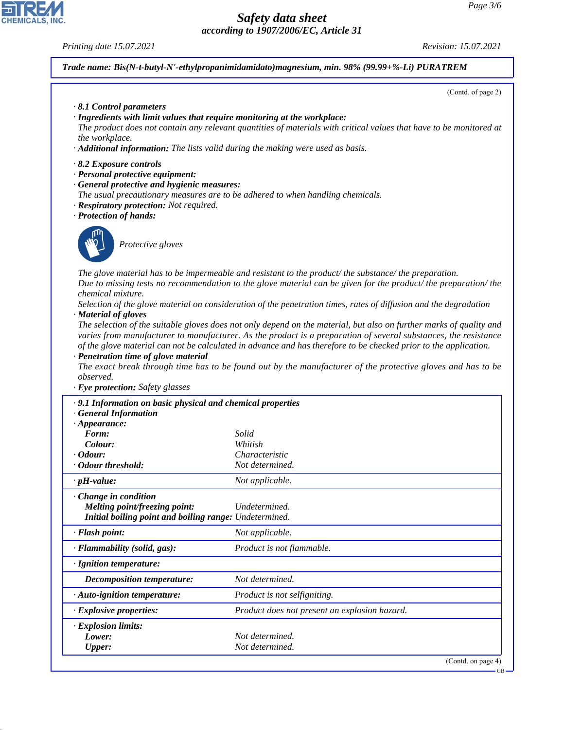### *Printing date 15.07.2021 Revision: 15.07.2021*

*Trade name: Bis(N-t-butyl-N'-ethylpropanimidamidato)magnesium, min. 98% (99.99+%-Li) PURATREM*

(Contd. of page 2)

- *· 8.1 Control parameters*
- *· Ingredients with limit values that require monitoring at the workplace:*
- *The product does not contain any relevant quantities of materials with critical values that have to be monitored at the workplace.*
- *· Additional information: The lists valid during the making were used as basis.*
- *· 8.2 Exposure controls*
- *· Personal protective equipment:*
- *· General protective and hygienic measures:*
- *The usual precautionary measures are to be adhered to when handling chemicals.*
- *· Respiratory protection: Not required.*
- *· Protection of hands:*



44.1.1

\_S*Protective gloves*

*The glove material has to be impermeable and resistant to the product/ the substance/ the preparation. Due to missing tests no recommendation to the glove material can be given for the product/ the preparation/ the chemical mixture.*

*Selection of the glove material on consideration of the penetration times, rates of diffusion and the degradation · Material of gloves*

*The selection of the suitable gloves does not only depend on the material, but also on further marks of quality and varies from manufacturer to manufacturer. As the product is a preparation of several substances, the resistance of the glove material can not be calculated in advance and has therefore to be checked prior to the application.*

*· Penetration time of glove material*

*The exact break through time has to be found out by the manufacturer of the protective gloves and has to be observed.*

*· Eye protection: Safety glasses*

| · 9.1 Information on basic physical and chemical properties |                                               |  |
|-------------------------------------------------------------|-----------------------------------------------|--|
| <b>General Information</b><br>$\cdot$ Appearance:           |                                               |  |
| Form:                                                       | Solid                                         |  |
| Colour:                                                     | Whitish                                       |  |
| · Odour:                                                    | Characteristic                                |  |
| · Odour threshold:                                          | Not determined.                               |  |
| $\cdot$ pH-value:                                           | Not applicable.                               |  |
| Change in condition                                         |                                               |  |
| Melting point/freezing point:                               | Undetermined.                                 |  |
| Initial boiling point and boiling range: Undetermined.      |                                               |  |
| · Flash point:                                              | Not applicable.                               |  |
| · Flammability (solid, gas):                                | Product is not flammable.                     |  |
| · Ignition temperature:                                     |                                               |  |
| Decomposition temperature:                                  | Not determined.                               |  |
| · Auto-ignition temperature:                                | Product is not selfigniting.                  |  |
| · Explosive properties:                                     | Product does not present an explosion hazard. |  |
| $\cdot$ Explosion limits:                                   |                                               |  |
| Lower:                                                      | Not determined.                               |  |
| <b>Upper:</b>                                               | Not determined.                               |  |
|                                                             | (Contd. on page $4$ )                         |  |

GB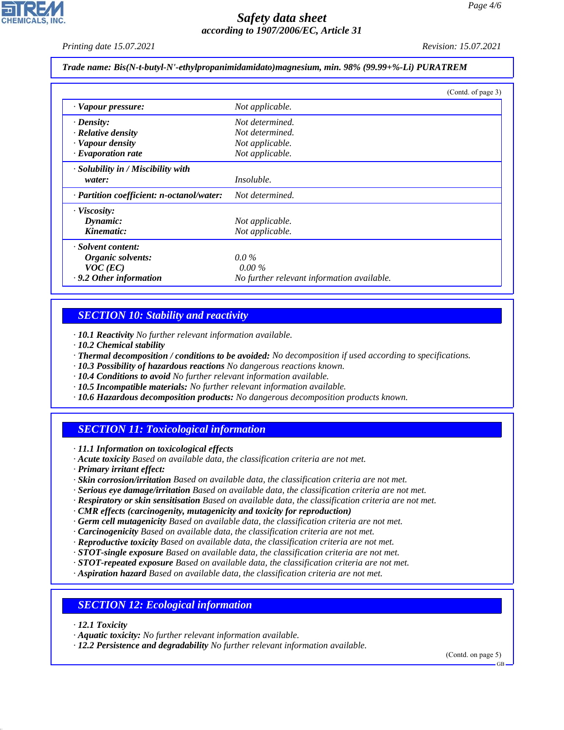*Printing date 15.07.2021 Revision: 15.07.2021*

*Trade name: Bis(N-t-butyl-N'-ethylpropanimidamidato)magnesium, min. 98% (99.99+%-Li) PURATREM*

|                                           | (Contd. of page 3)                         |
|-------------------------------------------|--------------------------------------------|
| · Vapour pressure:                        | Not applicable.                            |
| $\cdot$ Density:                          | Not determined.                            |
| · Relative density                        | Not determined.                            |
| · Vapour density                          | Not applicable.                            |
| $\cdot$ Evaporation rate                  | Not applicable.                            |
| · Solubility in / Miscibility with        |                                            |
| water:                                    | <i>Insoluble.</i>                          |
| · Partition coefficient: n-octanol/water: | Not determined.                            |
| $\cdot$ Viscosity:                        |                                            |
| Dynamic:                                  | Not applicable.                            |
| Kinematic:                                | Not applicable.                            |
| · Solvent content:                        |                                            |
| Organic solvents:                         | $0.0\%$                                    |
| $VOC$ (EC)                                | $0.00\%$                                   |
| · 9.2 Other information                   | No further relevant information available. |

# *SECTION 10: Stability and reactivity*

*· 10.1 Reactivity No further relevant information available.*

- *· 10.2 Chemical stability*
- *· Thermal decomposition / conditions to be avoided: No decomposition if used according to specifications.*
- *· 10.3 Possibility of hazardous reactions No dangerous reactions known.*
- *· 10.4 Conditions to avoid No further relevant information available.*
- *· 10.5 Incompatible materials: No further relevant information available.*
- *· 10.6 Hazardous decomposition products: No dangerous decomposition products known.*

### *SECTION 11: Toxicological information*

*· 11.1 Information on toxicological effects*

*· Acute toxicity Based on available data, the classification criteria are not met.*

*· Primary irritant effect:*

- *· Skin corrosion/irritation Based on available data, the classification criteria are not met.*
- *· Serious eye damage/irritation Based on available data, the classification criteria are not met.*
- *· Respiratory or skin sensitisation Based on available data, the classification criteria are not met.*
- *· CMR effects (carcinogenity, mutagenicity and toxicity for reproduction)*
- *· Germ cell mutagenicity Based on available data, the classification criteria are not met.*
- *· Carcinogenicity Based on available data, the classification criteria are not met.*
- *· Reproductive toxicity Based on available data, the classification criteria are not met.*
- *· STOT-single exposure Based on available data, the classification criteria are not met.*
- *· STOT-repeated exposure Based on available data, the classification criteria are not met.*
- *· Aspiration hazard Based on available data, the classification criteria are not met.*

### *SECTION 12: Ecological information*

*· 12.1 Toxicity*

44.1.1

*· Aquatic toxicity: No further relevant information available.*

*· 12.2 Persistence and degradability No further relevant information available.*

(Contd. on page 5)

GB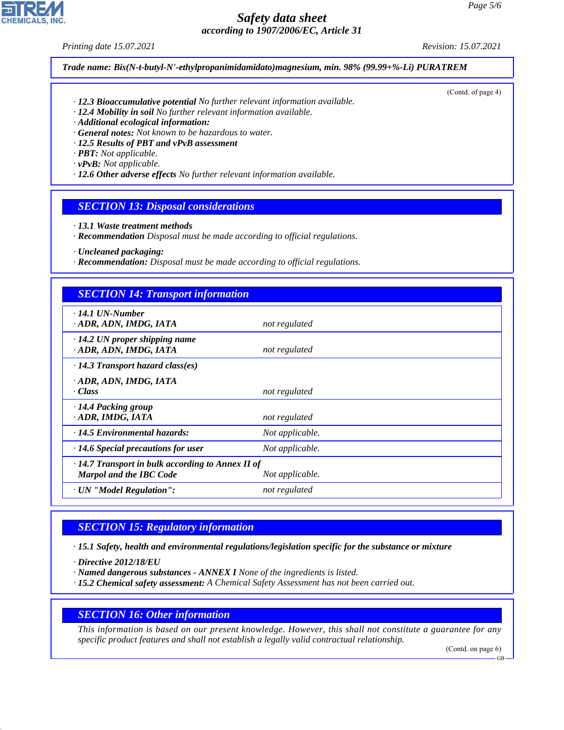*Printing date 15.07.2021 Revision: 15.07.2021*

(Contd. of page 4)

*Trade name: Bis(N-t-butyl-N'-ethylpropanimidamidato)magnesium, min. 98% (99.99+%-Li) PURATREM*

- *· 12.3 Bioaccumulative potential No further relevant information available.*
- *· 12.4 Mobility in soil No further relevant information available.*
- *· Additional ecological information:*
- *· General notes: Not known to be hazardous to water.*
- *· 12.5 Results of PBT and vPvB assessment*
- *· PBT: Not applicable.*
- *· vPvB: Not applicable.*
- *· 12.6 Other adverse effects No further relevant information available.*

### *SECTION 13: Disposal considerations*

- *· 13.1 Waste treatment methods*
- *· Recommendation Disposal must be made according to official regulations.*
- *· Uncleaned packaging:*
- *· Recommendation: Disposal must be made according to official regulations.*

### *SECTION 14: Transport information*

| $\cdot$ 14.1 UN-Number<br>· ADR, ADN, IMDG, IATA               | not regulated   |  |
|----------------------------------------------------------------|-----------------|--|
|                                                                |                 |  |
| $\cdot$ 14.2 UN proper shipping name<br>· ADR, ADN, IMDG, IATA | not regulated   |  |
| $\cdot$ 14.3 Transport hazard class(es)                        |                 |  |
| · ADR, ADN, IMDG, IATA                                         |                 |  |
| · Class                                                        |                 |  |
|                                                                | not regulated   |  |
| · 14.4 Packing group                                           |                 |  |
| · ADR, IMDG, IATA                                              | not regulated   |  |
| $\cdot$ 14.5 Environmental hazards:                            | Not applicable. |  |
| $\cdot$ 14.6 Special precautions for user                      | Not applicable. |  |
| $\cdot$ 14.7 Transport in bulk according to Annex II of        |                 |  |
| <b>Marpol and the IBC Code</b>                                 | Not applicable. |  |
| · UN "Model Regulation":                                       | not regulated   |  |

# *SECTION 15: Regulatory information*

*· 15.1 Safety, health and environmental regulations/legislation specific for the substance or mixture*

*· Directive 2012/18/EU*

44.1.1

- *· Named dangerous substances ANNEX I None of the ingredients is listed.*
- *· 15.2 Chemical safety assessment: A Chemical Safety Assessment has not been carried out.*

### *SECTION 16: Other information*

*This information is based on our present knowledge. However, this shall not constitute a guarantee for any specific product features and shall not establish a legally valid contractual relationship.*

(Contd. on page 6)

GB